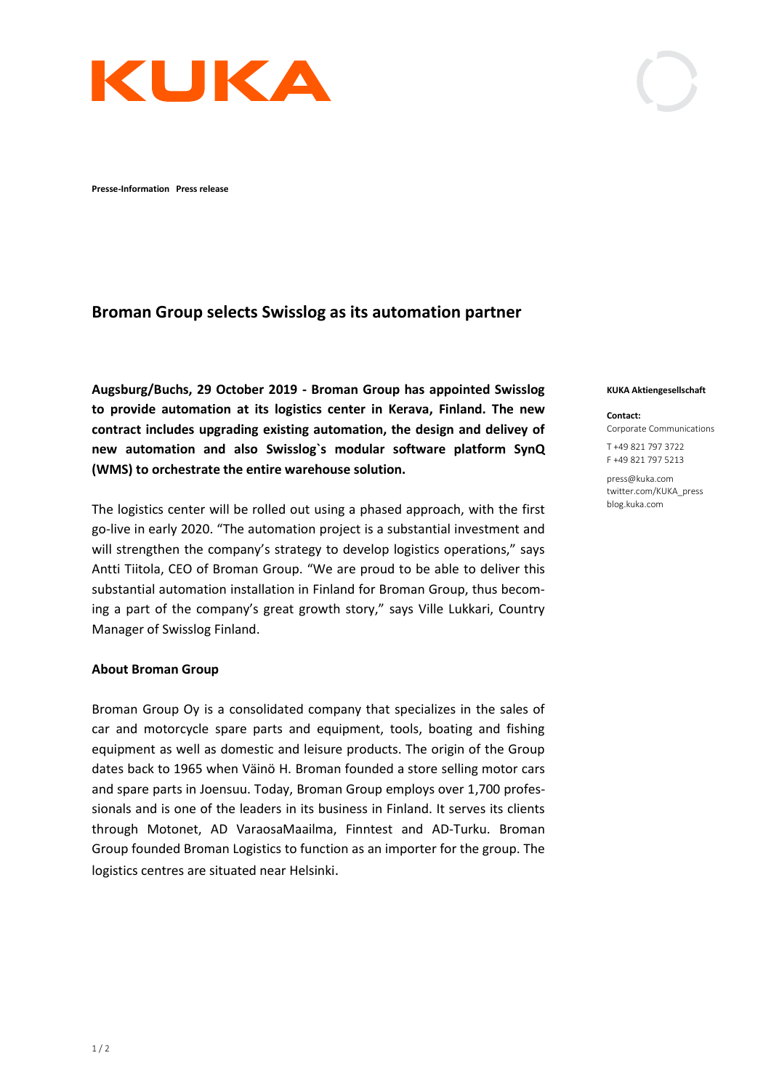

**Presse-Information Press release** 

# **Broman Group selects Swisslog as its automation partner**

**Augsburg/Buchs, 29 October 2019 - Broman Group has appointed Swisslog to provide automation at its logistics center in Kerava, Finland. The new contract includes upgrading existing automation, the design and delivey of new automation and also Swisslog`s modular software platform SynQ (WMS) to orchestrate the entire warehouse solution.** 

The logistics center will be rolled out using a phased approach, with the first go-live in early 2020. "The automation project is a substantial investment and will strengthen the company's strategy to develop logistics operations," says Antti Tiitola, CEO of Broman Group. "We are proud to be able to deliver this substantial automation installation in Finland for Broman Group, thus becoming a part of the company's great growth story," says Ville Lukkari, Country Manager of Swisslog Finland.

## **About Broman Group**

Broman Group Oy is a consolidated company that specializes in the sales of car and motorcycle spare parts and equipment, tools, boating and fishing equipment as well as domestic and leisure products. The origin of the Group dates back to 1965 when Väinö H. Broman founded a store selling motor cars and spare parts in Joensuu. Today, Broman Group employs over 1,700 professionals and is one of the leaders in its business in Finland. It serves its clients through Motonet, AD VaraosaMaailma, Finntest and AD-Turku. Broman Group founded Broman Logistics to function as an importer for the group. The logistics centres are situated near Helsinki.

#### **KUKA Aktiengesellschaft**

#### **Contact:**

Corporate Communications

T +49 821 797 3722 F +49 821 797 5213

press@kuka.com twitter.com/KUKA\_press blog.kuka.com